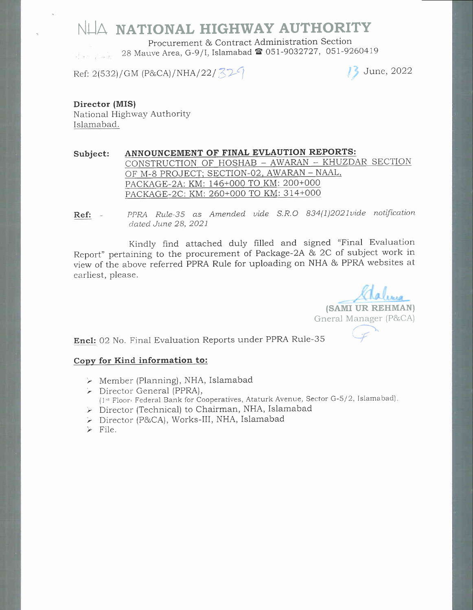NIA NATIONAL HIGHWAY AUTHORITY

Procurement & Contract Administration Section 28 Mauve Area, G-9/I, Islamabad  $\blacksquare$  051-9032727, 051-9260419

Ref: 2(532)/GM (P&CA)/NHA/22/ $\sqrt{32}$ 

 $\frac{2022}{ }$ 

Director (MIS) National Highway AuthoritY Islamabad.

Subject: ANNOUNCEMENT OF FINAL EVLAUTION REPORTS: CONSTRUCTION OF HOSHAB - AWARAN - KHUZDAR SECTION OF M-8 PROJECT; SECTION-02, AWARAN - NAAL, PACKAGE-2A: KM: 146+000 TO KM: 200+000 PACKAGE-2C: KM: 260+000 TO KM: 314+000

Ref: = PPRA RuIe-35 as Amended uide S.R.O 834(1)202luide notification dated June 28, 2021

Kindly find attached duly filled and signed "Final Evaluation Report" pertaining to the procurement of Package-2\ & 2C of subject work in view of the above referred PPRA Rule for uploading on NHA & PPRA websites at earliest, please.

(SAMI UR REHMAN) Gneral Manager (P&CA)

 $\sim$ "{

Encl: 02 No. Final Evaluation Reports under PPRA Rule-35

## Copy for Kind information to:

- $\triangleright$  Member (Planning), NHA, Islamabad
- > Director General (PPRA), (1st Floor, Federal Bank for Cooperatives, Ataturk Avenue, Sector G-5/2, Islamabad),
- > Director (Technical) to Chairman, NHA, Islamabad<br>> Director (P&CA), Works-III, NHA, Islamabad
- 
- $\triangleright$  File.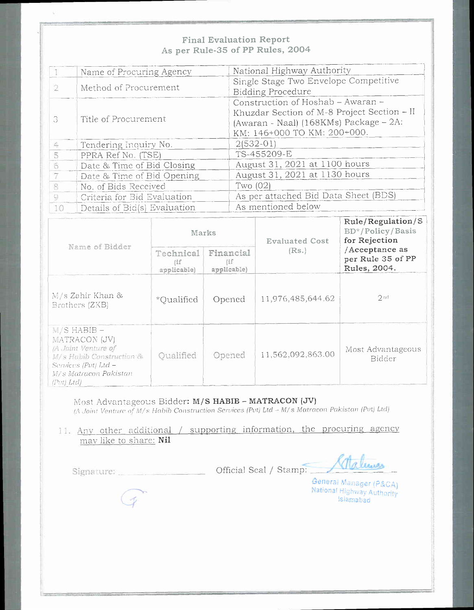## **Final Evaluation Report** As per Rule-35 of PP Rules, 2004

|    | Name of Procuring Agency     | National Highway Authority                  |  |  |
|----|------------------------------|---------------------------------------------|--|--|
|    |                              | Single Stage Two Envelope Competitive       |  |  |
|    | Method of Procurement        | <b>Bidding Procedure</b>                    |  |  |
| 3  |                              | Construction of Hoshab - Awaran -           |  |  |
|    | Title of Procurement         | Khuzdar Section of M-8 Project Section - II |  |  |
|    |                              | (Awaran - Naal) (168KMs) Package - 2A:      |  |  |
|    |                              | KM: 146+000 TO KM: 200+000.                 |  |  |
| 4  | Tendering Inquiry No.        | $2(532-01)$                                 |  |  |
|    | PPRA Ref No. (TSE)           | TS-455209-E                                 |  |  |
|    | Date & Time of Bid Closing   | August 31, 2021 at 1100 hours               |  |  |
| 7  | Date & Time of Bid Opening   | August 31, 2021 at 1130 hours               |  |  |
|    | No. of Bids Received         | Two $(02)$                                  |  |  |
| 9  | Criteria for Bid Evaluation  | As per attached Bid Data Sheet (BDS)        |  |  |
| 10 | Details of Bid(s) Evaluation | As mentioned below                          |  |  |

| Name of Bidder                                                                                                                                            | Marks                           |                                 | <b>Evaluated Cost</b> | Rule/Regularion/S<br>BD*/Policy/Basis<br>for Rejection |
|-----------------------------------------------------------------------------------------------------------------------------------------------------------|---------------------------------|---------------------------------|-----------------------|--------------------------------------------------------|
|                                                                                                                                                           | Technical<br>(if<br>applicable) | Financial<br>(if<br>applicable) | (Rs.)                 | /Acceptance as<br>per Rule 35 of PP<br>Rules, 2004.    |
| M/s Zahir Khan &<br>Brothers (ZKB)                                                                                                                        | *Oualified                      | Opened                          | 11,976,485,644,62     | 2nd                                                    |
| $M/S$ HABIB $-$<br>MATRACON (JV)<br>/A Joint Venture of<br>M/s Habib Construction &<br>Services (Pvt) Ltd –<br><i>M/s Matracon Pakistan</i><br>(Pvt) Ltd) | Oualified                       | Opened                          | 11,562,092,863.00     | Most Advantageous<br>Bidder                            |

Most Advantageous Bidder: M/S HABIB - MATRACON (JV) (A Joint Venture of M/s Habib Construction Services (Pvt) Ltd - M/s Matracon Pakistan (Pvt) Ltd)

## 11. Any other additional / supporting information, the procuring agency may like to share: Nil

Signature: Champing Cofficial Seal / Stamp:

 $\mathscr{D}$ 

Aalmas

General Manager (P&CA) National Highway Authority **Islamabad**